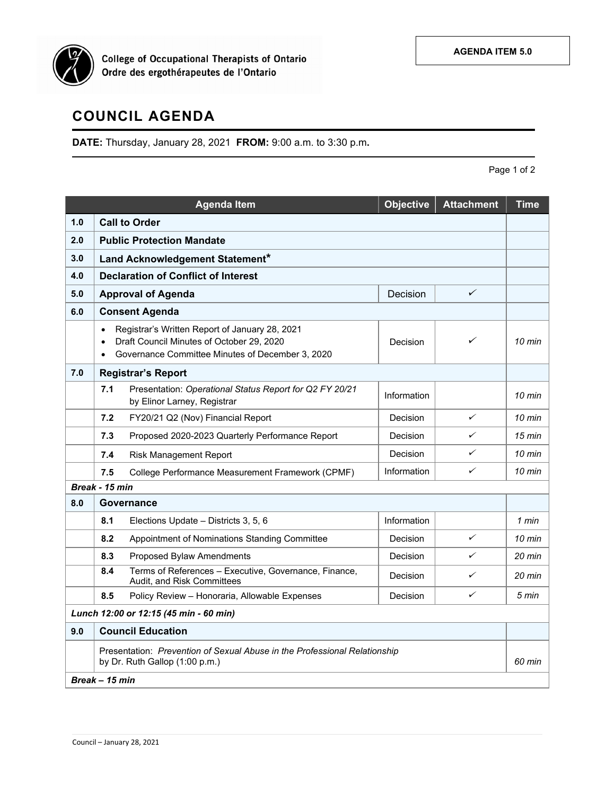

College of Occupational Therapists of Ontario<br>Ordre des ergothérapeutes de l'Ontario

## **COUNCIL AGENDA**

**DATE:** Thursday, January 28, 2021 **FROM:** 9:00 a.m. to 3:30 p.m**.**

Page 1 of 2

|                                        |                                                                                                                                                                                                         | <b>Agenda Item</b>                                                                     | <b>Objective</b> | <b>Attachment</b> | <b>Time</b>      |  |  |  |
|----------------------------------------|---------------------------------------------------------------------------------------------------------------------------------------------------------------------------------------------------------|----------------------------------------------------------------------------------------|------------------|-------------------|------------------|--|--|--|
| 1.0                                    | <b>Call to Order</b>                                                                                                                                                                                    |                                                                                        |                  |                   |                  |  |  |  |
| 2.0                                    | <b>Public Protection Mandate</b>                                                                                                                                                                        |                                                                                        |                  |                   |                  |  |  |  |
| 3.0                                    | Land Acknowledgement Statement*                                                                                                                                                                         |                                                                                        |                  |                   |                  |  |  |  |
| 4.0                                    | <b>Declaration of Conflict of Interest</b>                                                                                                                                                              |                                                                                        |                  |                   |                  |  |  |  |
| 5.0                                    |                                                                                                                                                                                                         | <b>Approval of Agenda</b>                                                              | Decision         | ✓                 |                  |  |  |  |
| 6.0                                    | <b>Consent Agenda</b>                                                                                                                                                                                   |                                                                                        |                  |                   |                  |  |  |  |
|                                        | Registrar's Written Report of January 28, 2021<br>$\bullet$<br>Draft Council Minutes of October 29, 2020<br>✓<br>Decision<br>$\bullet$<br>Governance Committee Minutes of December 3, 2020<br>$\bullet$ |                                                                                        |                  |                   |                  |  |  |  |
| 7.0                                    | <b>Registrar's Report</b>                                                                                                                                                                               |                                                                                        |                  |                   |                  |  |  |  |
|                                        | 7.1                                                                                                                                                                                                     | Presentation: Operational Status Report for Q2 FY 20/21<br>by Elinor Larney, Registrar | Information      |                   | $10$ min         |  |  |  |
|                                        | 7.2                                                                                                                                                                                                     | FY20/21 Q2 (Nov) Financial Report                                                      | Decision         | $\checkmark$      | 10 min           |  |  |  |
|                                        | 7.3                                                                                                                                                                                                     | Proposed 2020-2023 Quarterly Performance Report                                        | Decision         | ✓                 | $15$ min         |  |  |  |
|                                        | 7.4                                                                                                                                                                                                     | <b>Risk Management Report</b>                                                          | Decision         | ✓                 | $10$ min         |  |  |  |
|                                        | 7.5                                                                                                                                                                                                     | College Performance Measurement Framework (CPMF)                                       | Information      | $\checkmark$      | $10 \text{ min}$ |  |  |  |
| Break - 15 min                         |                                                                                                                                                                                                         |                                                                                        |                  |                   |                  |  |  |  |
| 8.0                                    | Governance                                                                                                                                                                                              |                                                                                        |                  |                   |                  |  |  |  |
|                                        | 8.1                                                                                                                                                                                                     | Elections Update - Districts 3, 5, 6                                                   | Information      |                   | 1 min            |  |  |  |
|                                        | 8.2                                                                                                                                                                                                     | Appointment of Nominations Standing Committee                                          | Decision         | $\checkmark$      | $10 \text{ min}$ |  |  |  |
|                                        | 8.3                                                                                                                                                                                                     | Proposed Bylaw Amendments                                                              | Decision         | ✓                 | 20 min           |  |  |  |
|                                        | 8.4                                                                                                                                                                                                     | Terms of References - Executive, Governance, Finance,<br>Audit, and Risk Committees    | Decision         | ✓                 | $20 \text{ min}$ |  |  |  |
|                                        | 8.5                                                                                                                                                                                                     | Policy Review - Honoraria, Allowable Expenses                                          | Decision         | ✓                 | 5 min            |  |  |  |
| Lunch 12:00 or 12:15 (45 min - 60 min) |                                                                                                                                                                                                         |                                                                                        |                  |                   |                  |  |  |  |
| 9.0                                    | <b>Council Education</b>                                                                                                                                                                                |                                                                                        |                  |                   |                  |  |  |  |
|                                        | Presentation: Prevention of Sexual Abuse in the Professional Relationship<br>by Dr. Ruth Gallop (1:00 p.m.)                                                                                             |                                                                                        |                  |                   |                  |  |  |  |
| Break - 15 min                         |                                                                                                                                                                                                         |                                                                                        |                  |                   |                  |  |  |  |